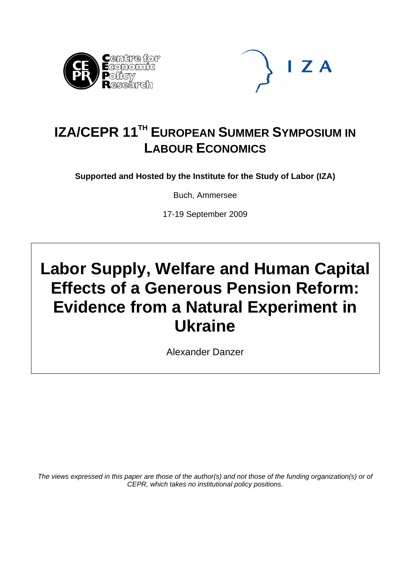



## **IZA/CEPR 11<sup>TH</sup> EUROPEAN SUMMER SYMPOSIUM IN LABOUR ECONOMICS**

**Supported and Hosted by the Institute for the Study of Labor (IZA)** 

Buch, Ammersee

17-19 September 2009

# **Labor Supply, Welfare and Human Capital Effects of a Generous Pension Reform: Evidence from a Natural Experiment in Ukraine**

Alexander Danzer

*The views expressed in this paper are those of the author(s) and not those of the funding organization(s) or of CEPR, which takes no institutional policy positions.*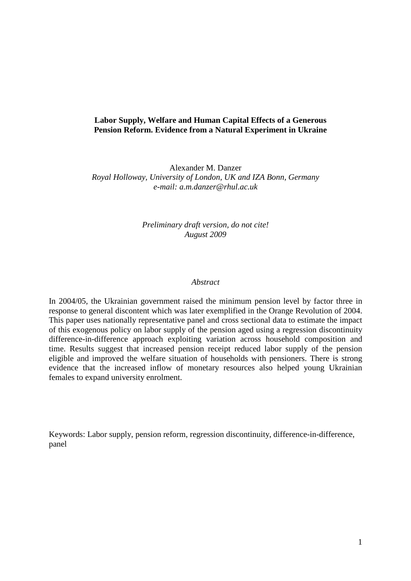## **Labor Supply, Welfare and Human Capital Effects of a Generous Pension Reform. Evidence from a Natural Experiment in Ukraine**

Alexander M. Danzer *Royal Holloway, University of London, UK and IZA Bonn, Germany e-mail: a.m.danzer@rhul.ac.uk* 

## *Preliminary draft version, do not cite! August 2009*

#### *Abstract*

In 2004/05, the Ukrainian government raised the minimum pension level by factor three in response to general discontent which was later exemplified in the Orange Revolution of 2004. This paper uses nationally representative panel and cross sectional data to estimate the impact of this exogenous policy on labor supply of the pension aged using a regression discontinuity difference-in-difference approach exploiting variation across household composition and time. Results suggest that increased pension receipt reduced labor supply of the pension eligible and improved the welfare situation of households with pensioners. There is strong evidence that the increased inflow of monetary resources also helped young Ukrainian females to expand university enrolment.

Keywords: Labor supply, pension reform, regression discontinuity, difference-in-difference, panel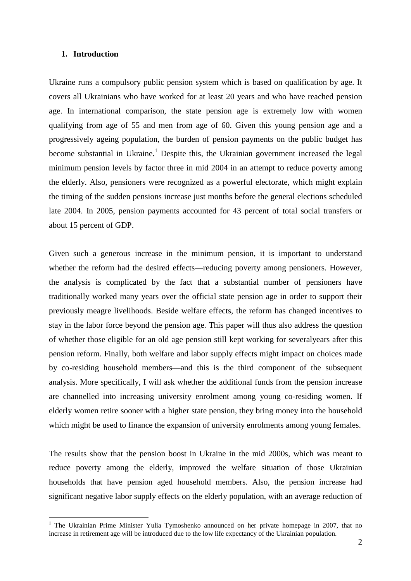#### **1. Introduction**

 $\overline{a}$ 

Ukraine runs a compulsory public pension system which is based on qualification by age. It covers all Ukrainians who have worked for at least 20 years and who have reached pension age. In international comparison, the state pension age is extremely low with women qualifying from age of 55 and men from age of 60. Given this young pension age and a progressively ageing population, the burden of pension payments on the public budget has become substantial in Ukraine.<sup>1</sup> Despite this, the Ukrainian government increased the legal minimum pension levels by factor three in mid 2004 in an attempt to reduce poverty among the elderly. Also, pensioners were recognized as a powerful electorate, which might explain the timing of the sudden pensions increase just months before the general elections scheduled late 2004. In 2005, pension payments accounted for 43 percent of total social transfers or about 15 percent of GDP.

Given such a generous increase in the minimum pension, it is important to understand whether the reform had the desired effects—reducing poverty among pensioners. However, the analysis is complicated by the fact that a substantial number of pensioners have traditionally worked many years over the official state pension age in order to support their previously meagre livelihoods. Beside welfare effects, the reform has changed incentives to stay in the labor force beyond the pension age. This paper will thus also address the question of whether those eligible for an old age pension still kept working for severalyears after this pension reform. Finally, both welfare and labor supply effects might impact on choices made by co-residing household members—and this is the third component of the subsequent analysis. More specifically, I will ask whether the additional funds from the pension increase are channelled into increasing university enrolment among young co-residing women. If elderly women retire sooner with a higher state pension, they bring money into the household which might be used to finance the expansion of university enrolments among young females.

The results show that the pension boost in Ukraine in the mid 2000s, which was meant to reduce poverty among the elderly, improved the welfare situation of those Ukrainian households that have pension aged household members. Also, the pension increase had significant negative labor supply effects on the elderly population, with an average reduction of

<sup>&</sup>lt;sup>1</sup> The Ukrainian Prime Minister Yulia Tymoshenko announced on her private homepage in 2007, that no increase in retirement age will be introduced due to the low life expectancy of the Ukrainian population.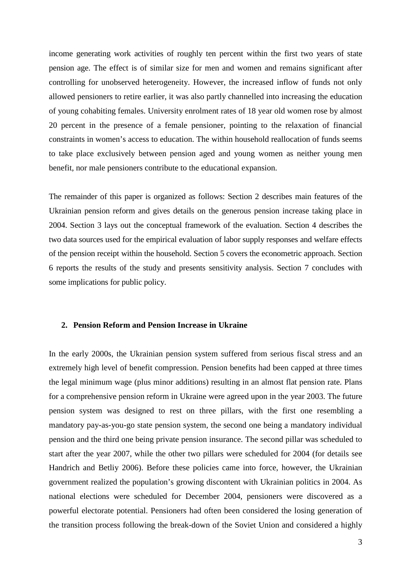income generating work activities of roughly ten percent within the first two years of state pension age. The effect is of similar size for men and women and remains significant after controlling for unobserved heterogeneity. However, the increased inflow of funds not only allowed pensioners to retire earlier, it was also partly channelled into increasing the education of young cohabiting females. University enrolment rates of 18 year old women rose by almost 20 percent in the presence of a female pensioner, pointing to the relaxation of financial constraints in women's access to education. The within household reallocation of funds seems to take place exclusively between pension aged and young women as neither young men benefit, nor male pensioners contribute to the educational expansion.

The remainder of this paper is organized as follows: Section 2 describes main features of the Ukrainian pension reform and gives details on the generous pension increase taking place in 2004. Section 3 lays out the conceptual framework of the evaluation. Section 4 describes the two data sources used for the empirical evaluation of labor supply responses and welfare effects of the pension receipt within the household. Section 5 covers the econometric approach. Section 6 reports the results of the study and presents sensitivity analysis. Section 7 concludes with some implications for public policy.

#### **2. Pension Reform and Pension Increase in Ukraine**

In the early 2000s, the Ukrainian pension system suffered from serious fiscal stress and an extremely high level of benefit compression. Pension benefits had been capped at three times the legal minimum wage (plus minor additions) resulting in an almost flat pension rate. Plans for a comprehensive pension reform in Ukraine were agreed upon in the year 2003. The future pension system was designed to rest on three pillars, with the first one resembling a mandatory pay-as-you-go state pension system, the second one being a mandatory individual pension and the third one being private pension insurance. The second pillar was scheduled to start after the year 2007, while the other two pillars were scheduled for 2004 (for details see Handrich and Betliy 2006). Before these policies came into force, however, the Ukrainian government realized the population's growing discontent with Ukrainian politics in 2004. As national elections were scheduled for December 2004, pensioners were discovered as a powerful electorate potential. Pensioners had often been considered the losing generation of the transition process following the break-down of the Soviet Union and considered a highly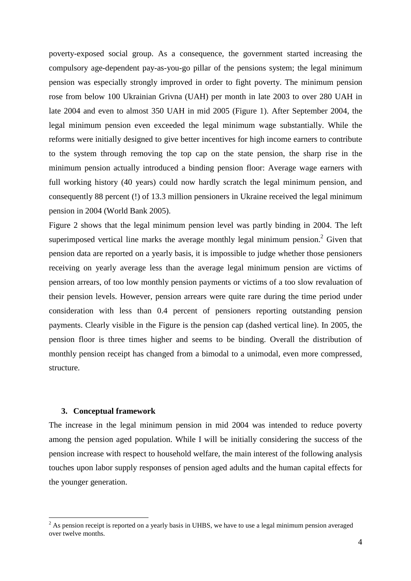poverty-exposed social group. As a consequence, the government started increasing the compulsory age-dependent pay-as-you-go pillar of the pensions system; the legal minimum pension was especially strongly improved in order to fight poverty. The minimum pension rose from below 100 Ukrainian Grivna (UAH) per month in late 2003 to over 280 UAH in late 2004 and even to almost 350 UAH in mid 2005 (Figure 1). After September 2004, the legal minimum pension even exceeded the legal minimum wage substantially. While the reforms were initially designed to give better incentives for high income earners to contribute to the system through removing the top cap on the state pension, the sharp rise in the minimum pension actually introduced a binding pension floor: Average wage earners with full working history (40 years) could now hardly scratch the legal minimum pension, and consequently 88 percent (!) of 13.3 million pensioners in Ukraine received the legal minimum pension in 2004 (World Bank 2005).

Figure 2 shows that the legal minimum pension level was partly binding in 2004. The left superimposed vertical line marks the average monthly legal minimum pension.<sup>2</sup> Given that pension data are reported on a yearly basis, it is impossible to judge whether those pensioners receiving on yearly average less than the average legal minimum pension are victims of pension arrears, of too low monthly pension payments or victims of a too slow revaluation of their pension levels. However, pension arrears were quite rare during the time period under consideration with less than 0.4 percent of pensioners reporting outstanding pension payments. Clearly visible in the Figure is the pension cap (dashed vertical line). In 2005, the pension floor is three times higher and seems to be binding. Overall the distribution of monthly pension receipt has changed from a bimodal to a unimodal, even more compressed, structure.

#### **3. Conceptual framework**

The increase in the legal minimum pension in mid 2004 was intended to reduce poverty among the pension aged population. While I will be initially considering the success of the pension increase with respect to household welfare, the main interest of the following analysis touches upon labor supply responses of pension aged adults and the human capital effects for the younger generation.

<sup>&</sup>lt;sup>2</sup> As pension receipt is reported on a yearly basis in UHBS, we have to use a legal minimum pension averaged over twelve months.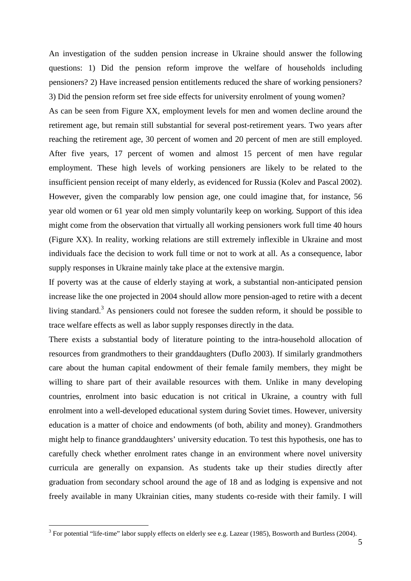An investigation of the sudden pension increase in Ukraine should answer the following questions: 1) Did the pension reform improve the welfare of households including pensioners? 2) Have increased pension entitlements reduced the share of working pensioners? 3) Did the pension reform set free side effects for university enrolment of young women?

As can be seen from Figure XX, employment levels for men and women decline around the retirement age, but remain still substantial for several post-retirement years. Two years after reaching the retirement age, 30 percent of women and 20 percent of men are still employed. After five years, 17 percent of women and almost 15 percent of men have regular employment. These high levels of working pensioners are likely to be related to the insufficient pension receipt of many elderly, as evidenced for Russia (Kolev and Pascal 2002). However, given the comparably low pension age, one could imagine that, for instance, 56 year old women or 61 year old men simply voluntarily keep on working. Support of this idea might come from the observation that virtually all working pensioners work full time 40 hours (Figure XX). In reality, working relations are still extremely inflexible in Ukraine and most individuals face the decision to work full time or not to work at all. As a consequence, labor supply responses in Ukraine mainly take place at the extensive margin.

If poverty was at the cause of elderly staying at work, a substantial non-anticipated pension increase like the one projected in 2004 should allow more pension-aged to retire with a decent living standard.<sup>3</sup> As pensioners could not foresee the sudden reform, it should be possible to trace welfare effects as well as labor supply responses directly in the data.

There exists a substantial body of literature pointing to the intra-household allocation of resources from grandmothers to their granddaughters (Duflo 2003). If similarly grandmothers care about the human capital endowment of their female family members, they might be willing to share part of their available resources with them. Unlike in many developing countries, enrolment into basic education is not critical in Ukraine, a country with full enrolment into a well-developed educational system during Soviet times. However, university education is a matter of choice and endowments (of both, ability and money). Grandmothers might help to finance granddaughters' university education. To test this hypothesis, one has to carefully check whether enrolment rates change in an environment where novel university curricula are generally on expansion. As students take up their studies directly after graduation from secondary school around the age of 18 and as lodging is expensive and not freely available in many Ukrainian cities, many students co-reside with their family. I will

 $\overline{a}$ 

 $3$  For potential "life-time" labor supply effects on elderly see e.g. Lazear (1985), Bosworth and Burtless (2004).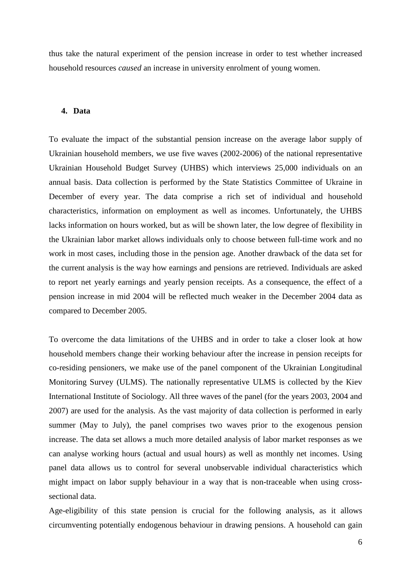thus take the natural experiment of the pension increase in order to test whether increased household resources *caused* an increase in university enrolment of young women.

### **4. Data**

To evaluate the impact of the substantial pension increase on the average labor supply of Ukrainian household members, we use five waves (2002-2006) of the national representative Ukrainian Household Budget Survey (UHBS) which interviews 25,000 individuals on an annual basis. Data collection is performed by the State Statistics Committee of Ukraine in December of every year. The data comprise a rich set of individual and household characteristics, information on employment as well as incomes. Unfortunately, the UHBS lacks information on hours worked, but as will be shown later, the low degree of flexibility in the Ukrainian labor market allows individuals only to choose between full-time work and no work in most cases, including those in the pension age. Another drawback of the data set for the current analysis is the way how earnings and pensions are retrieved. Individuals are asked to report net yearly earnings and yearly pension receipts. As a consequence, the effect of a pension increase in mid 2004 will be reflected much weaker in the December 2004 data as compared to December 2005.

To overcome the data limitations of the UHBS and in order to take a closer look at how household members change their working behaviour after the increase in pension receipts for co-residing pensioners, we make use of the panel component of the Ukrainian Longitudinal Monitoring Survey (ULMS). The nationally representative ULMS is collected by the Kiev International Institute of Sociology. All three waves of the panel (for the years 2003, 2004 and 2007) are used for the analysis. As the vast majority of data collection is performed in early summer (May to July), the panel comprises two waves prior to the exogenous pension increase. The data set allows a much more detailed analysis of labor market responses as we can analyse working hours (actual and usual hours) as well as monthly net incomes. Using panel data allows us to control for several unobservable individual characteristics which might impact on labor supply behaviour in a way that is non-traceable when using crosssectional data.

Age-eligibility of this state pension is crucial for the following analysis, as it allows circumventing potentially endogenous behaviour in drawing pensions. A household can gain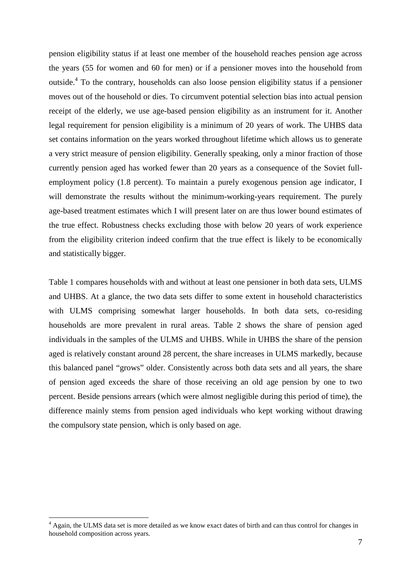pension eligibility status if at least one member of the household reaches pension age across the years (55 for women and 60 for men) or if a pensioner moves into the household from outside.<sup>4</sup> To the contrary, households can also loose pension eligibility status if a pensioner moves out of the household or dies. To circumvent potential selection bias into actual pension receipt of the elderly, we use age-based pension eligibility as an instrument for it. Another legal requirement for pension eligibility is a minimum of 20 years of work. The UHBS data set contains information on the years worked throughout lifetime which allows us to generate a very strict measure of pension eligibility. Generally speaking, only a minor fraction of those currently pension aged has worked fewer than 20 years as a consequence of the Soviet fullemployment policy (1.8 percent). To maintain a purely exogenous pension age indicator, I will demonstrate the results without the minimum-working-years requirement. The purely age-based treatment estimates which I will present later on are thus lower bound estimates of the true effect. Robustness checks excluding those with below 20 years of work experience from the eligibility criterion indeed confirm that the true effect is likely to be economically and statistically bigger.

Table 1 compares households with and without at least one pensioner in both data sets, ULMS and UHBS. At a glance, the two data sets differ to some extent in household characteristics with ULMS comprising somewhat larger households. In both data sets, co-residing households are more prevalent in rural areas. Table 2 shows the share of pension aged individuals in the samples of the ULMS and UHBS. While in UHBS the share of the pension aged is relatively constant around 28 percent, the share increases in ULMS markedly, because this balanced panel "grows" older. Consistently across both data sets and all years, the share of pension aged exceeds the share of those receiving an old age pension by one to two percent. Beside pensions arrears (which were almost negligible during this period of time), the difference mainly stems from pension aged individuals who kept working without drawing the compulsory state pension, which is only based on age.

 $\overline{a}$ 

<sup>&</sup>lt;sup>4</sup> Again, the ULMS data set is more detailed as we know exact dates of birth and can thus control for changes in household composition across years.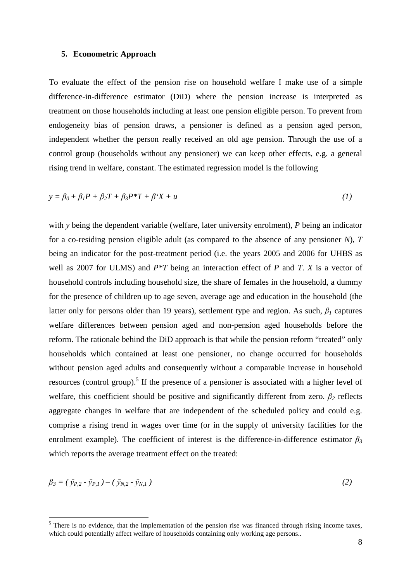#### **5. Econometric Approach**

 $\overline{a}$ 

To evaluate the effect of the pension rise on household welfare I make use of a simple difference-in-difference estimator (DiD) where the pension increase is interpreted as treatment on those households including at least one pension eligible person. To prevent from endogeneity bias of pension draws, a pensioner is defined as a pension aged person, independent whether the person really received an old age pension. Through the use of a control group (households without any pensioner) we can keep other effects, e.g. a general rising trend in welfare, constant. The estimated regression model is the following

$$
y = \beta_0 + \beta_1 P + \beta_2 T + \beta_3 P^* T + \beta^* X + u \tag{1}
$$

with *y* being the dependent variable (welfare, later university enrolment), *P* being an indicator for a co-residing pension eligible adult (as compared to the absence of any pensioner *N*), *T* being an indicator for the post-treatment period (i.e. the years 2005 and 2006 for UHBS as well as 2007 for ULMS) and *P\*T* being an interaction effect of *P* and *T*. *X* is a vector of household controls including household size, the share of females in the household, a dummy for the presence of children up to age seven, average age and education in the household (the latter only for persons older than 19 years), settlement type and region. As such,  $\beta_l$  captures welfare differences between pension aged and non-pension aged households before the reform. The rationale behind the DiD approach is that while the pension reform "treated" only households which contained at least one pensioner, no change occurred for households without pension aged adults and consequently without a comparable increase in household resources (control group).<sup>5</sup> If the presence of a pensioner is associated with a higher level of welfare, this coefficient should be positive and significantly different from zero.  $\beta_2$  reflects aggregate changes in welfare that are independent of the scheduled policy and could e.g. comprise a rising trend in wages over time (or in the supply of university facilities for the enrolment example). The coefficient of interest is the difference-in-difference estimator  $\beta_3$ which reports the average treatment effect on the treated:

$$
\beta_3 = (\bar{y}_{P,2} - \bar{y}_{P,1}) - (\bar{y}_{N,2} - \bar{y}_{N,1})
$$
\n(2)

<sup>&</sup>lt;sup>5</sup> There is no evidence, that the implementation of the pension rise was financed through rising income taxes, which could potentially affect welfare of households containing only working age persons..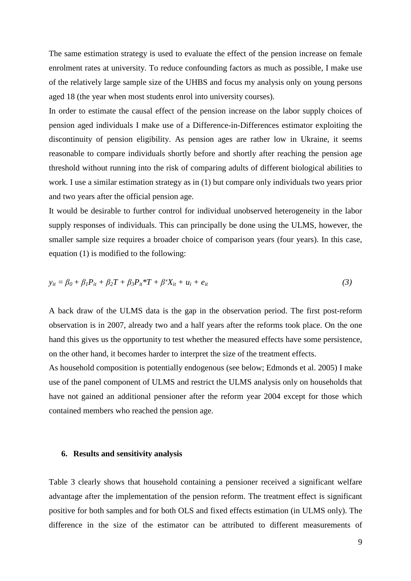The same estimation strategy is used to evaluate the effect of the pension increase on female enrolment rates at university. To reduce confounding factors as much as possible, I make use of the relatively large sample size of the UHBS and focus my analysis only on young persons aged 18 (the year when most students enrol into university courses).

In order to estimate the causal effect of the pension increase on the labor supply choices of pension aged individuals I make use of a Difference-in-Differences estimator exploiting the discontinuity of pension eligibility. As pension ages are rather low in Ukraine, it seems reasonable to compare individuals shortly before and shortly after reaching the pension age threshold without running into the risk of comparing adults of different biological abilities to work. I use a similar estimation strategy as in (1) but compare only individuals two years prior and two years after the official pension age.

It would be desirable to further control for individual unobserved heterogeneity in the labor supply responses of individuals. This can principally be done using the ULMS, however, the smaller sample size requires a broader choice of comparison years (four years). In this case, equation (1) is modified to the following:

$$
y_{it} = \beta_0 + \beta_1 P_{it} + \beta_2 T + \beta_3 P_{it} * T + \beta' X_{it} + u_i + e_{it}
$$
\n(3)

A back draw of the ULMS data is the gap in the observation period. The first post-reform observation is in 2007, already two and a half years after the reforms took place. On the one hand this gives us the opportunity to test whether the measured effects have some persistence, on the other hand, it becomes harder to interpret the size of the treatment effects.

As household composition is potentially endogenous (see below; Edmonds et al. 2005) I make use of the panel component of ULMS and restrict the ULMS analysis only on households that have not gained an additional pensioner after the reform year 2004 except for those which contained members who reached the pension age.

#### **6. Results and sensitivity analysis**

Table 3 clearly shows that household containing a pensioner received a significant welfare advantage after the implementation of the pension reform. The treatment effect is significant positive for both samples and for both OLS and fixed effects estimation (in ULMS only). The difference in the size of the estimator can be attributed to different measurements of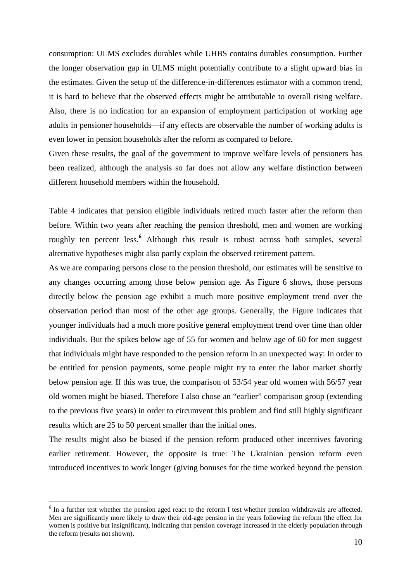consumption: ULMS excludes durables while UHBS contains durables consumption. Further the longer observation gap in ULMS might potentially contribute to a slight upward bias in the estimates. Given the setup of the difference-in-differences estimator with a common trend, it is hard to believe that the observed effects might be attributable to overall rising welfare. Also, there is no indication for an expansion of employment participation of working age adults in pensioner households—if any effects are observable the number of working adults is even lower in pension households after the reform as compared to before.

Given these results, the goal of the government to improve welfare levels of pensioners has been realized, although the analysis so far does not allow any welfare distinction between different household members within the household.

Table 4 indicates that pension eligible individuals retired much faster after the reform than before. Within two years after reaching the pension threshold, men and women are working roughly ten percent less.**<sup>6</sup>** Although this result is robust across both samples, several alternative hypotheses might also partly explain the observed retirement pattern.

As we are comparing persons close to the pension threshold, our estimates will be sensitive to any changes occurring among those below pension age. As Figure 6 shows, those persons directly below the pension age exhibit a much more positive employment trend over the observation period than most of the other age groups. Generally, the Figure indicates that younger individuals had a much more positive general employment trend over time than older individuals. But the spikes below age of 55 for women and below age of 60 for men suggest that individuals might have responded to the pension reform in an unexpected way: In order to be entitled for pension payments, some people might try to enter the labor market shortly below pension age. If this was true, the comparison of 53/54 year old women with 56/57 year old women might be biased. Therefore I also chose an "earlier" comparison group (extending to the previous five years) in order to circumvent this problem and find still highly significant results which are 25 to 50 percent smaller than the initial ones.

The results might also be biased if the pension reform produced other incentives favoring earlier retirement. However, the opposite is true: The Ukrainian pension reform even introduced incentives to work longer (giving bonuses for the time worked beyond the pension

 $\overline{a}$ 

 $<sup>6</sup>$  In a further test whether the pension aged react to the reform I test whether pension withdrawals are affected.</sup> Men are significantly more likely to draw their old-age pension in the years following the reform (the effect for women is positive but insignificant), indicating that pension coverage increased in the elderly population through the reform (results not shown).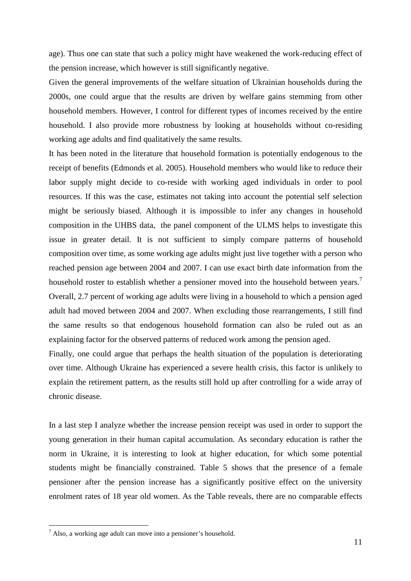age). Thus one can state that such a policy might have weakened the work-reducing effect of the pension increase, which however is still significantly negative.

Given the general improvements of the welfare situation of Ukrainian households during the 2000s, one could argue that the results are driven by welfare gains stemming from other household members. However, I control for different types of incomes received by the entire household. I also provide more robustness by looking at households without co-residing working age adults and find qualitatively the same results.

It has been noted in the literature that household formation is potentially endogenous to the receipt of benefits (Edmonds et al. 2005). Household members who would like to reduce their labor supply might decide to co-reside with working aged individuals in order to pool resources. If this was the case, estimates not taking into account the potential self selection might be seriously biased. Although it is impossible to infer any changes in household composition in the UHBS data, the panel component of the ULMS helps to investigate this issue in greater detail. It is not sufficient to simply compare patterns of household composition over time, as some working age adults might just live together with a person who reached pension age between 2004 and 2007. I can use exact birth date information from the household roster to establish whether a pensioner moved into the household between years.<sup>7</sup> Overall, 2.7 percent of working age adults were living in a household to which a pension aged

adult had moved between 2004 and 2007. When excluding those rearrangements, I still find the same results so that endogenous household formation can also be ruled out as an explaining factor for the observed patterns of reduced work among the pension aged.

Finally, one could argue that perhaps the health situation of the population is deteriorating over time. Although Ukraine has experienced a severe health crisis, this factor is unlikely to explain the retirement pattern, as the results still hold up after controlling for a wide array of chronic disease.

In a last step I analyze whether the increase pension receipt was used in order to support the young generation in their human capital accumulation. As secondary education is rather the norm in Ukraine, it is interesting to look at higher education, for which some potential students might be financially constrained. Table 5 shows that the presence of a female pensioner after the pension increase has a significantly positive effect on the university enrolment rates of 18 year old women. As the Table reveals, there are no comparable effects

 $\overline{a}$ 

 $<sup>7</sup>$  Also, a working age adult can move into a pensioner's household.</sup>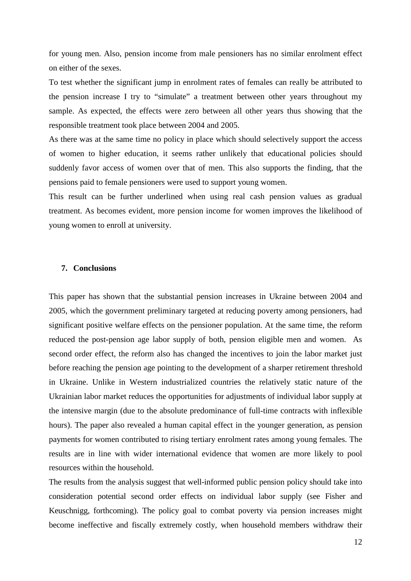for young men. Also, pension income from male pensioners has no similar enrolment effect on either of the sexes.

To test whether the significant jump in enrolment rates of females can really be attributed to the pension increase I try to "simulate" a treatment between other years throughout my sample. As expected, the effects were zero between all other years thus showing that the responsible treatment took place between 2004 and 2005.

As there was at the same time no policy in place which should selectively support the access of women to higher education, it seems rather unlikely that educational policies should suddenly favor access of women over that of men. This also supports the finding, that the pensions paid to female pensioners were used to support young women.

This result can be further underlined when using real cash pension values as gradual treatment. As becomes evident, more pension income for women improves the likelihood of young women to enroll at university.

#### **7. Conclusions**

This paper has shown that the substantial pension increases in Ukraine between 2004 and 2005, which the government preliminary targeted at reducing poverty among pensioners, had significant positive welfare effects on the pensioner population. At the same time, the reform reduced the post-pension age labor supply of both, pension eligible men and women. As second order effect, the reform also has changed the incentives to join the labor market just before reaching the pension age pointing to the development of a sharper retirement threshold in Ukraine. Unlike in Western industrialized countries the relatively static nature of the Ukrainian labor market reduces the opportunities for adjustments of individual labor supply at the intensive margin (due to the absolute predominance of full-time contracts with inflexible hours). The paper also revealed a human capital effect in the younger generation, as pension payments for women contributed to rising tertiary enrolment rates among young females. The results are in line with wider international evidence that women are more likely to pool resources within the household.

The results from the analysis suggest that well-informed public pension policy should take into consideration potential second order effects on individual labor supply (see Fisher and Keuschnigg, forthcoming). The policy goal to combat poverty via pension increases might become ineffective and fiscally extremely costly, when household members withdraw their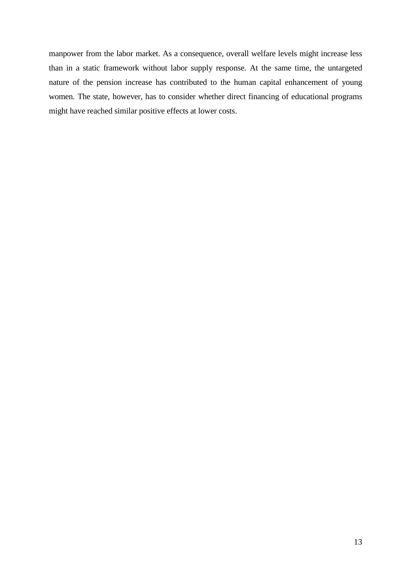manpower from the labor market. As a consequence, overall welfare levels might increase less than in a static framework without labor supply response. At the same time, the untargeted nature of the pension increase has contributed to the human capital enhancement of young women. The state, however, has to consider whether direct financing of educational programs might have reached similar positive effects at lower costs.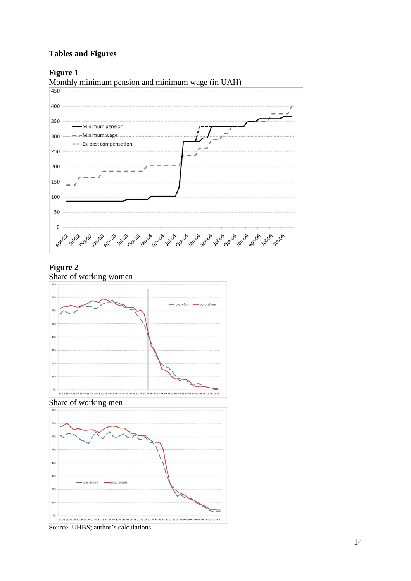## **Tables and Figures**

## **Figure 1**

Monthly minimum pension and minimum wage (in UAH)  $\frac{450}{ }$ 



## **Figure 2**

Share of working women







Source: UHBS; author's calculations.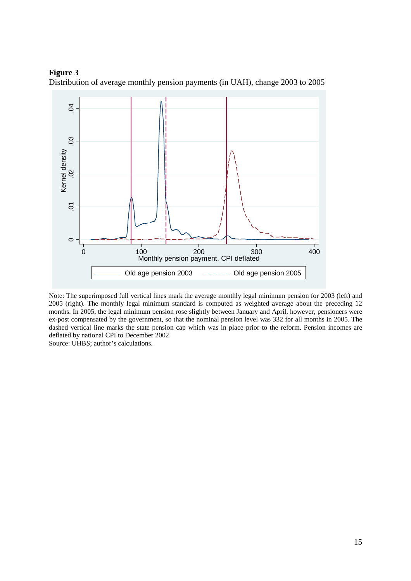#### **Figure 3**





Note: The superimposed full vertical lines mark the average monthly legal minimum pension for 2003 (left) and 2005 (right). The monthly legal minimum standard is computed as weighted average about the preceding 12 months. In 2005, the legal minimum pension rose slightly between January and April, however, pensioners were ex-post compensated by the government, so that the nominal pension level was 332 for all months in 2005. The dashed vertical line marks the state pension cap which was in place prior to the reform. Pension incomes are deflated by national CPI to December 2002.

Source: UHBS; author's calculations.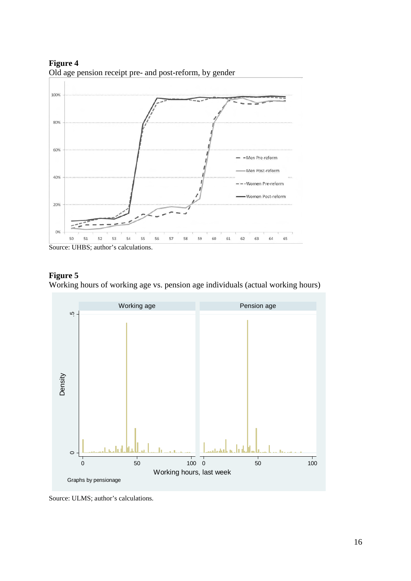100% 80% 60% -Men Pre-reform Men Post-reform 40% Women Pre-reform Women Post-reform 20% 0% 52 53 54 55 56 57 58 59 60 61 62 63 64 65  $50$ 

**Figure 4**  Old age pension receipt pre- and post-reform, by gender

## **Figure 5**

Working hours of working age vs. pension age individuals (actual working hours)



Source: ULMS; author's calculations.

Source: UHBS; author's calculations.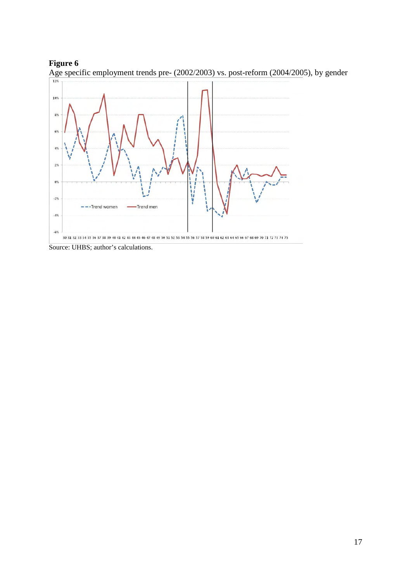



Age specific employment trends pre- (2002/2003) vs. post-reform (2004/2005), by gender

Source: UHBS; author's calculations.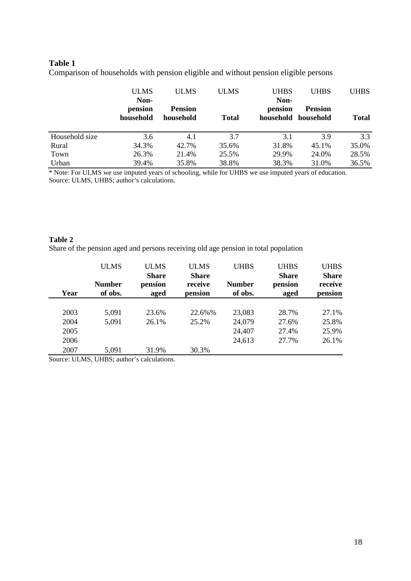## **Table 1**

Comparison of households with pension eligible and without pension eligible persons

|                | <b>ULMS</b><br>Non-  | <b>ULMS</b>                 | <b>ULMS</b>  | <b>UHBS</b><br>Non- | <b>UHBS</b>                           | <b>UHBS</b>  |
|----------------|----------------------|-----------------------------|--------------|---------------------|---------------------------------------|--------------|
|                | pension<br>household | <b>Pension</b><br>household | <b>Total</b> | pension             | <b>Pension</b><br>household household | <b>Total</b> |
| Household size | 3.6                  | 4.1                         | 3.7          | 3.1                 | 3.9                                   | 3.3          |
| Rural          | 34.3%                | 42.7%                       | 35.6%        | 31.8%               | 45.1%                                 | 35.0%        |
| Town           | 26.3%                | 21.4%                       | 25.5%        | 29.9%               | 24.0%                                 | 28.5%        |
| Urban          | 39.4%                | 35.8%                       | 38.8%        | 38.3%               | 31.0%                                 | 36.5%        |

\* Note: For ULMS we use imputed years of schooling, while for UHBS we use imputed years of education. Source: ULMS, UHBS; author's calculations.

#### **Table 2**

Share of the pension aged and persons receiving old age pension in total population

|      | <b>ULMS</b>   | <b>ULMS</b>             | <b>ULMS</b>             | <b>UHBS</b>   | <b>UHBS</b>             | <b>UHBS</b>             |
|------|---------------|-------------------------|-------------------------|---------------|-------------------------|-------------------------|
|      | <b>Number</b> | <b>Share</b><br>pension | <b>Share</b><br>receive | <b>Number</b> | <b>Share</b><br>pension | <b>Share</b><br>receive |
| Year | of obs.       | aged                    | pension                 | of obs.       | aged                    | pension                 |
|      |               |                         |                         |               |                         |                         |
| 2003 | 5,091         | 23.6%                   | 22.6%%                  | 23,083        | 28.7%                   | 27.1%                   |
| 2004 | 5,091         | 26.1%                   | 25.2%                   | 24,079        | 27.6%                   | 25.8%                   |
| 2005 |               |                         |                         | 24,407        | 27.4%                   | 25.9%                   |
| 2006 |               |                         |                         | 24,613        | 27.7%                   | 26.1%                   |
| 2007 | 5,091         | 31.9%                   | 30.3%                   |               |                         |                         |

Source: ULMS, UHBS; author's calculations.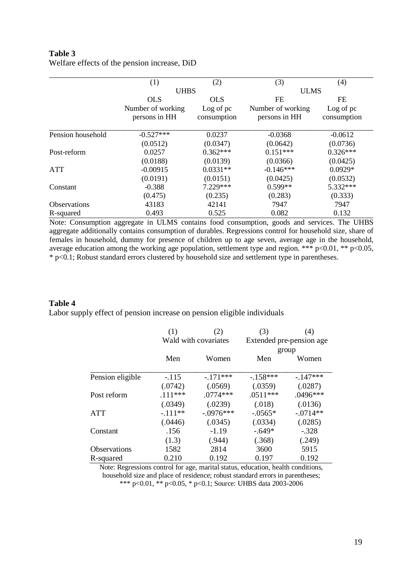## **Table 3**  Welfare effects of the pension increase, DiD

|                     | (1)               | (2)         | (3)               | (4)         |
|---------------------|-------------------|-------------|-------------------|-------------|
|                     | <b>UHBS</b>       |             | <b>ULMS</b>       |             |
|                     | <b>OLS</b>        | <b>OLS</b>  |                   | FE          |
|                     | Number of working | Log of pc   | Number of working | Log of pc   |
|                     | persons in HH     | consumption | persons in HH     | consumption |
| Pension household   | $-0.527***$       | 0.0237      | $-0.0368$         | $-0.0612$   |
|                     | (0.0512)          | (0.0347)    | (0.0642)          | (0.0736)    |
| Post-reform         | 0.0257            | $0.362***$  | $0.151***$        | $0.326***$  |
|                     | (0.0188)          | (0.0139)    | (0.0366)          | (0.0425)    |
| <b>ATT</b>          | $-0.00915$        | $0.0331**$  | $-0.146***$       | $0.0929*$   |
|                     | (0.0191)          | (0.0151)    | (0.0425)          | (0.0532)    |
| Constant            | $-0.388$          | 7.229***    | $0.599**$         | 5.332***    |
|                     | (0.475)           | (0.235)     | (0.283)           | (0.333)     |
| <b>Observations</b> | 43183             | 42141       | 7947              | 7947        |
| R-squared           | 0.493             | 0.525       | 0.082             | 0.132       |

Note: Consumption aggregate in ULMS contains food consumption, goods and services. The UHBS aggregate additionally contains consumption of durables. Regressions control for household size, share of females in household, dummy for presence of children up to age seven, average age in the household, average education among the working age population, settlement type and region. \*\*\* p<0.01, \*\* p<0.05, \* p<0.1; Robust standard errors clustered by household size and settlement type in parentheses.

## **Table 4**

Labor supply effect of pension increase on pension eligible individuals

|                  | (1)<br>(2)<br>Wald with covariates |             | (3)        | (4)<br>Extended pre-pension age |  |
|------------------|------------------------------------|-------------|------------|---------------------------------|--|
|                  |                                    |             | group      |                                 |  |
|                  | Men                                | Women       | Men        | Women                           |  |
| Pension eligible | $-.115$                            | $-171***$   | $-158***$  | $-147***$                       |  |
|                  | (.0742)                            | (.0569)     | (.0359)    | (.0287)                         |  |
| Post reform      | $111***$                           | $.0774***$  | $.0511***$ | $.0496***$                      |  |
|                  | (.0349)                            | (.0239)     | (.018)     | (.0136)                         |  |
| <b>ATT</b>       | $-111**$                           | $-.0976***$ | $-0.0565*$ | $-.0714**$                      |  |
|                  | (.0446)                            | (.0345)     | (.0334)    | (.0285)                         |  |
| Constant         | .156                               | $-1.19$     | $-.649*$   | $-.328$                         |  |
|                  | (1.3)                              | (.944)      | (.368)     | (.249)                          |  |
| Observations     | 1582                               | 2814        | 3600       | 5915                            |  |
| R-squared        | 0.210                              | 0.192       | 0.197      | 0.192                           |  |

Note: Regressions control for age, marital status, education, health conditions, household size and place of residence; robust standard errors in parentheses; \*\*\* p<0.01, \*\* p<0.05, \* p<0.1; Source: UHBS data 2003-2006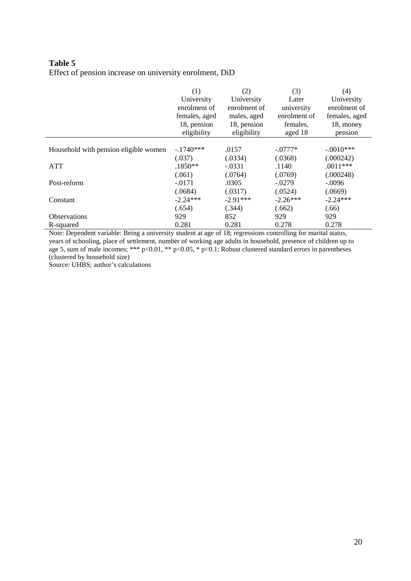## **Table 5**  Effect of pension increase on university enrolment, DiD

|                                                                                                               | (1)<br>University<br>enrolment of<br>females, aged<br>18, pension<br>eligibility | (2)<br>University<br>enrolment of<br>males, aged<br>18, pension<br>eligibility | (3)<br>Later<br>university<br>enrolment of<br>females,<br>aged 18 | (4)<br>University<br>enrolment of<br>females, aged<br>18, money<br>pension |  |
|---------------------------------------------------------------------------------------------------------------|----------------------------------------------------------------------------------|--------------------------------------------------------------------------------|-------------------------------------------------------------------|----------------------------------------------------------------------------|--|
| Household with pension eligible women                                                                         | $-1740***$                                                                       | .0157                                                                          | $-.0777*$                                                         | $-.0010***$                                                                |  |
|                                                                                                               | (.037)                                                                           | (.0334)                                                                        | (.0368)                                                           | (.000242)                                                                  |  |
| <b>ATT</b>                                                                                                    | $.1850**$                                                                        | $-.0331$                                                                       | .1140                                                             | $.0011***$                                                                 |  |
|                                                                                                               | (.061)                                                                           | (.0764)                                                                        | (.0769)                                                           | (.000248)                                                                  |  |
| Post-reform                                                                                                   | $-.0171$                                                                         | .0305                                                                          | $-.0279$                                                          | $-.0096$                                                                   |  |
|                                                                                                               | (.0684)                                                                          | (.0317)                                                                        | (.0524)                                                           | (.0669)                                                                    |  |
| Constant                                                                                                      | $-2.24***$                                                                       | $-2.91***$                                                                     | $-2.26***$                                                        | $-2.24***$                                                                 |  |
|                                                                                                               | (.654)                                                                           | (.344)                                                                         | (.662)                                                            | (.66)                                                                      |  |
| <b>Observations</b>                                                                                           | 929                                                                              | 852                                                                            | 929                                                               | 929                                                                        |  |
| R-squared                                                                                                     | 0.281                                                                            | 0.281                                                                          | 0.278                                                             | 0.278                                                                      |  |
| Note: Dependent variable: Reing a university student at age of 18; regressions controlling for marital status |                                                                                  |                                                                                |                                                                   |                                                                            |  |

Note: Dependent variable: Being a university student at age of 18; regressions controlling for marital status, years of schooling, place of settlement, number of working age adults in household, presence of children up to age 5, sum of male incomes; \*\*\* p<0.01, \*\* p<0.05, \* p<0.1; Robust clustered standard errors in parentheses (clustered by household size)

Source: UHBS; author's calculations